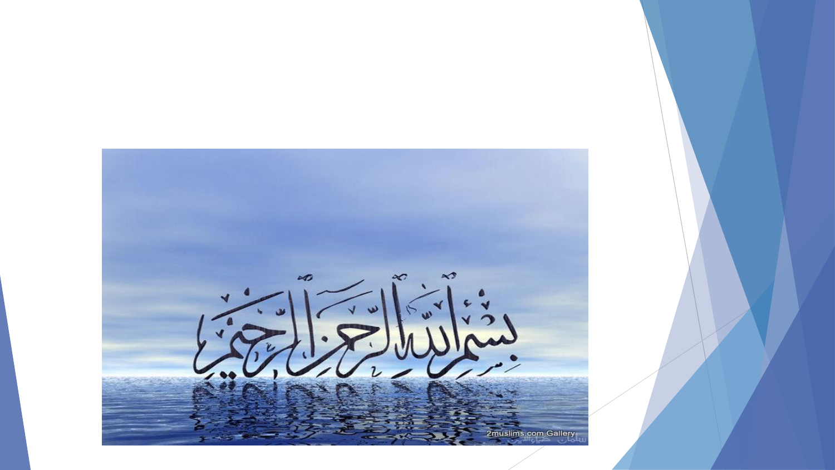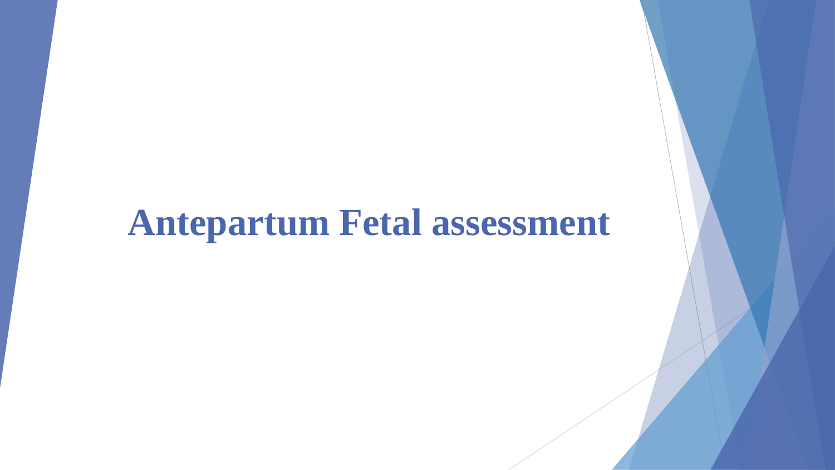# **Antepartum Fetal assessment**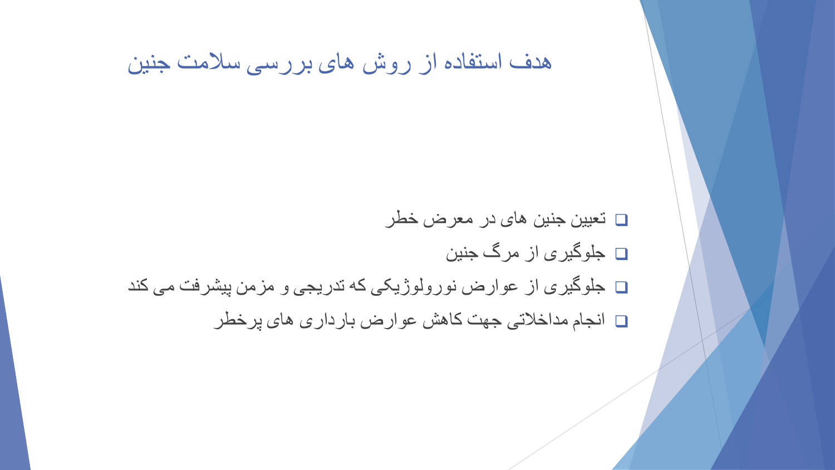#### هدف استفاده از روش های بررسی سالمت جنین

- تعیین جنین های در معرض خطر
	- جلوگیری از مرگ جنین
- جلوگیری از عوارض نورولوژیکی که تدریجی و مزمن پیشرفت می کند
	- انجام مداخالتی جهت کاهش عوارض بارداری های پرخطر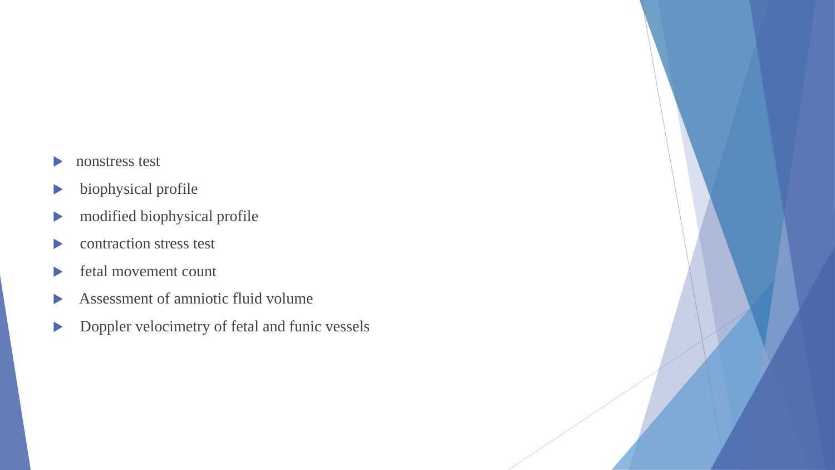- nonstress test
- $\blacktriangleright$  biophysical profile
- $\blacktriangleright$  modified biophysical profile
- contraction stress test
- fetal movement count
- Assessment of amniotic fluid volume
- Doppler velocimetry of fetal and funic vessels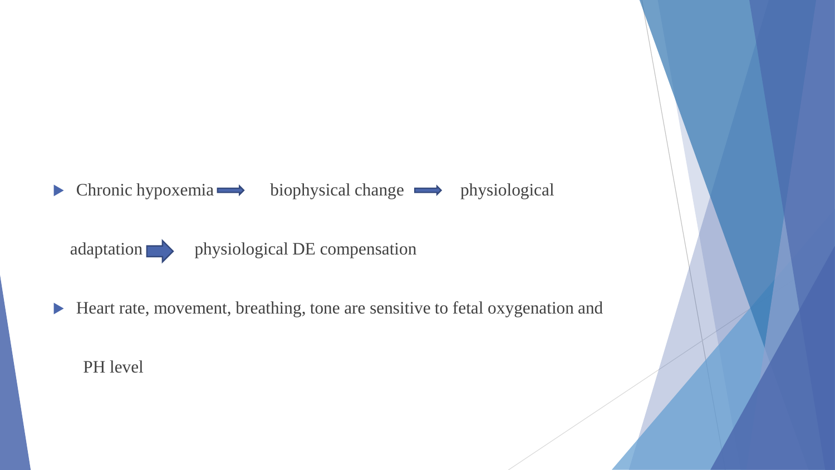$\triangleright$  Chronic hypoxemia  $\rightarrow$  biophysical change  $\rightarrow$  physiological



adaptation physiological DE compensation

Heart rate, movement, breathing, tone are sensitive to fetal oxygenation and

PH level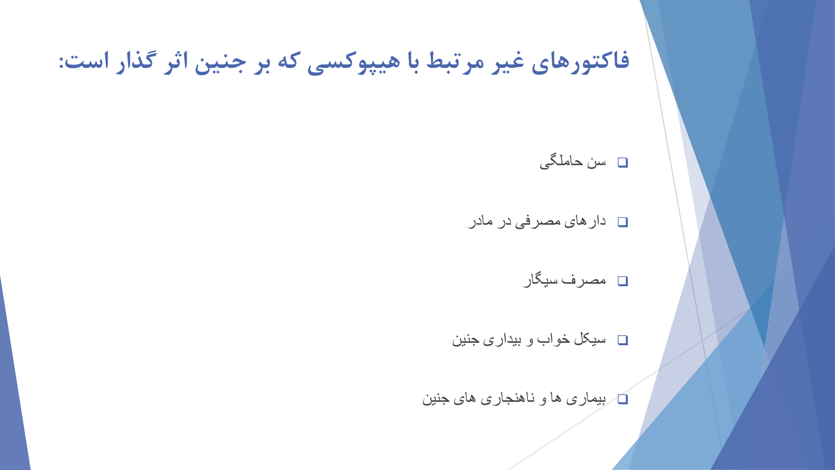### **فاکتورهای غیر مرتبط با هیپوکسی که بر جنین اثر گذار است:**

سن حاملگی

دارهای مصرفی در مادر

مصرف سیگار

سیکل خواب و بیداری جنین

بیماری ها و ناهنجاری های جنین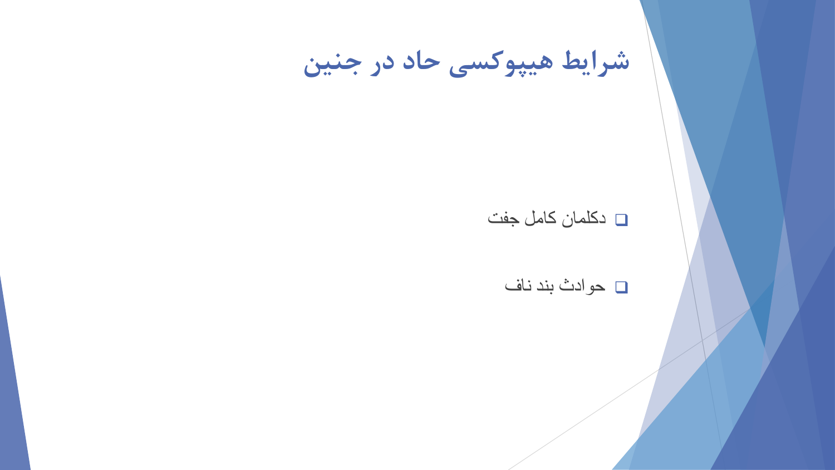**شرایط هیپوکسی حاد در جنین**

#### دکلمان کامل جفت

حوادث بند ناف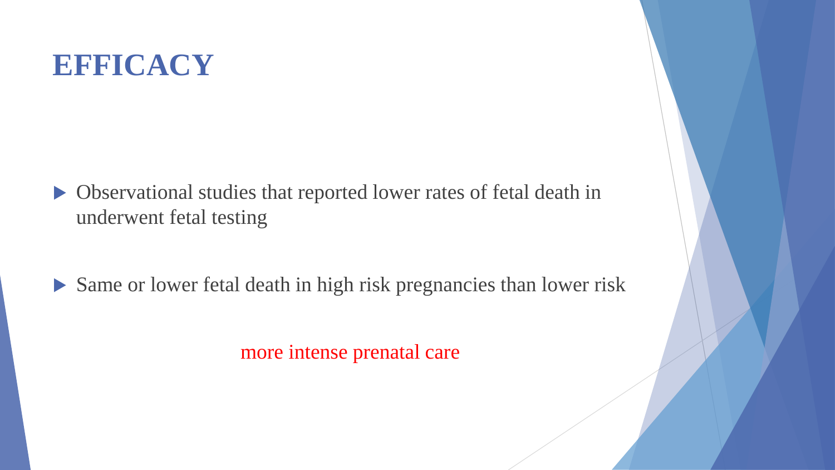## **EFFICACY**

- Observational studies that reported lower rates of fetal death in underwent fetal testing
- Same or lower fetal death in high risk pregnancies than lower risk

more intense prenatal care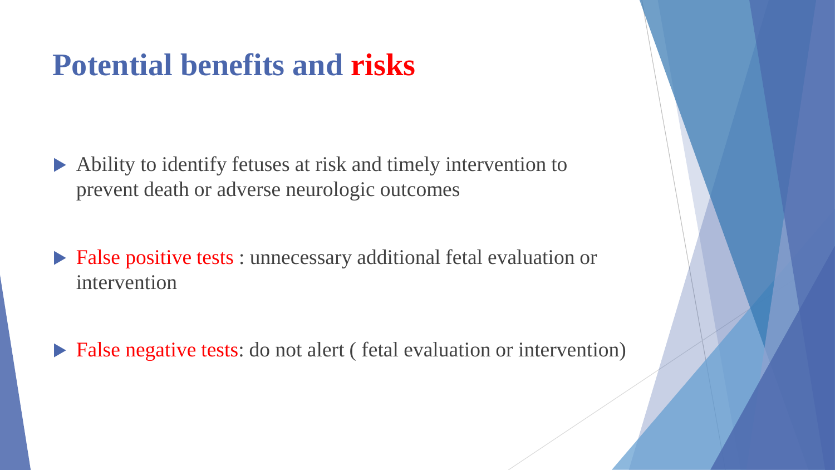## **Potential benefits and risks**

- Ability to identify fetuses at risk and timely intervention to prevent death or adverse neurologic outcomes
- False positive tests : unnecessary additional fetal evaluation or intervention
- ▶ False negative tests: do not alert (fetal evaluation or intervention)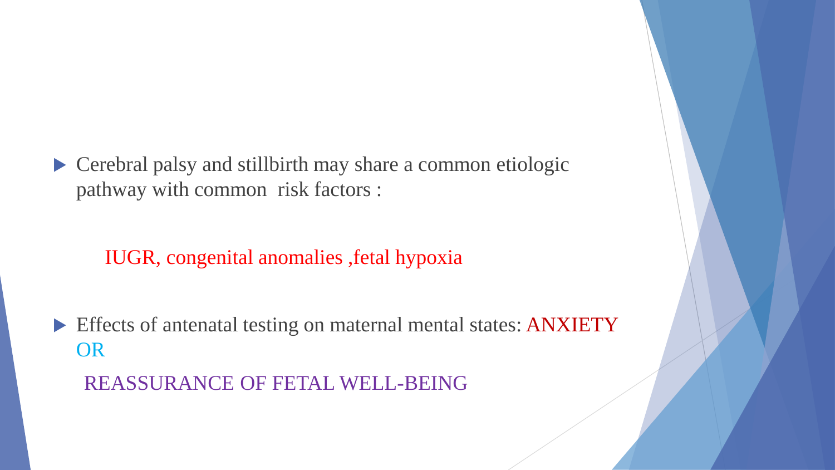Cerebral palsy and stillbirth may share a common etiologic pathway with common risk factors :

#### IUGR, congenital anomalies ,fetal hypoxia

Effects of antenatal testing on maternal mental states: ANXIETY OR

REASSURANCE OF FETAL WELL-BEING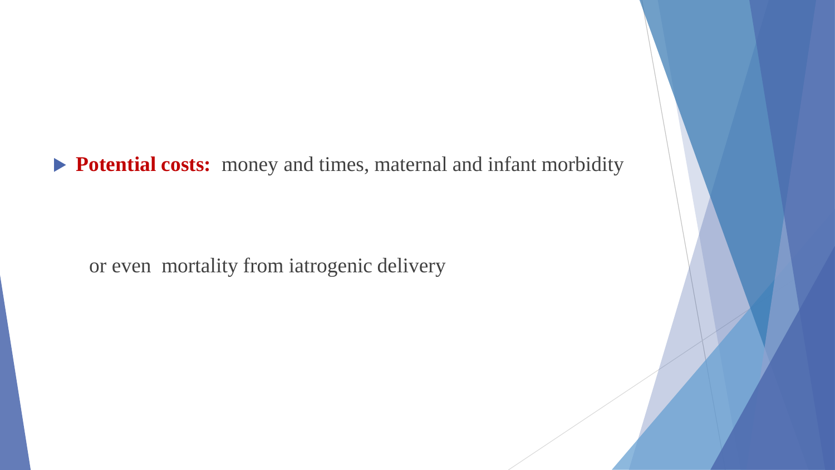**Potential costs:** money and times, maternal and infant morbidity

or even mortality from iatrogenic delivery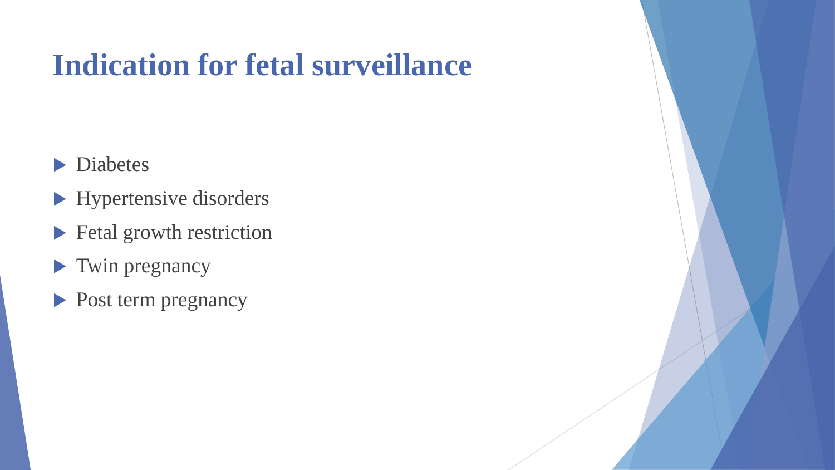# **Indication for fetal surveillance**

- **Diabetes**
- **Hypertensive disorders**
- **Fetal growth restriction**
- Twin pregnancy
- Post term pregnancy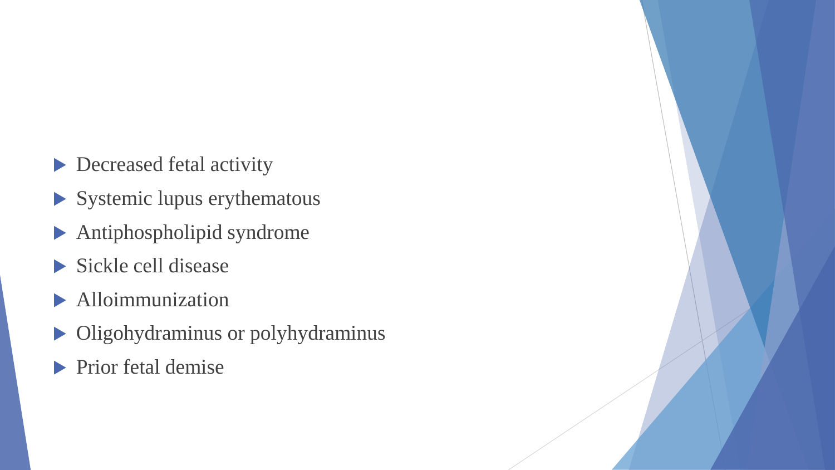- Decreased fetal activity
- $\blacktriangleright$  Systemic lupus erythematous
- Antiphospholipid syndrome
- Sickle cell disease
- **Alloimmunization**
- $\triangleright$  Oligohydraminus or polyhydraminus
- $\blacktriangleright$  Prior fetal demise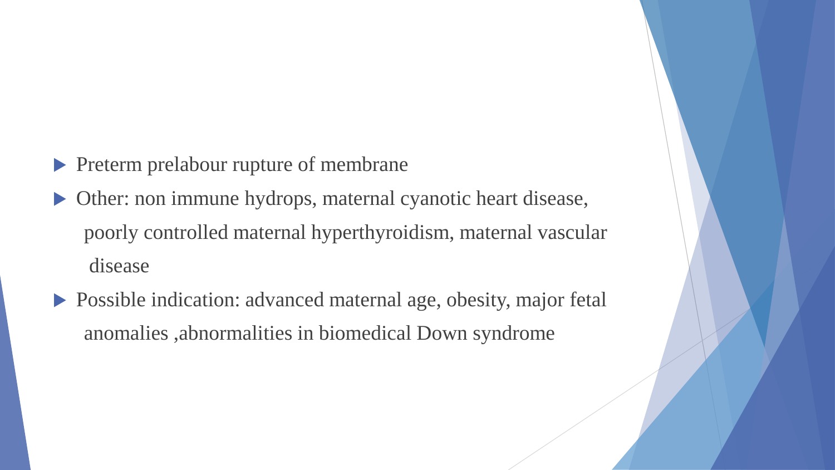- Preterm prelabour rupture of membrane
- Other: non immune hydrops, maternal cyanotic heart disease, poorly controlled maternal hyperthyroidism, maternal vascular disease
- Possible indication: advanced maternal age, obesity, major fetal anomalies ,abnormalities in biomedical Down syndrome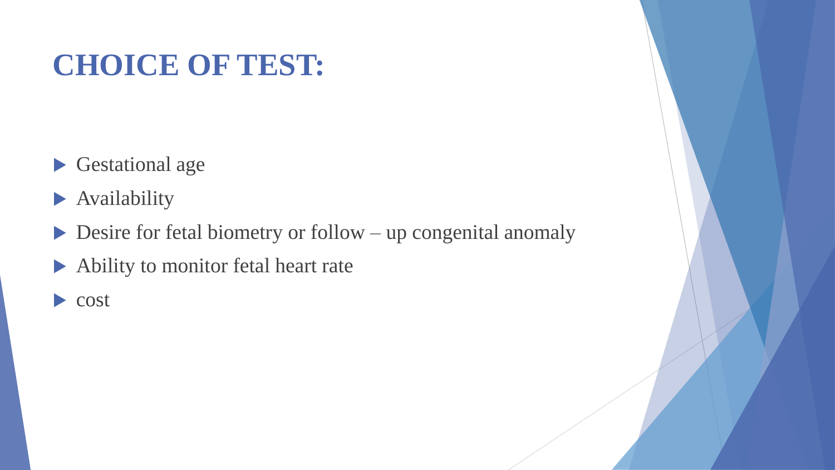# **CHOICE OF TEST:**

- Gestational age
- **Availability**
- $\triangleright$  Desire for fetal biometry or follow up congenital anomaly
- Ability to monitor fetal heart rate
- cost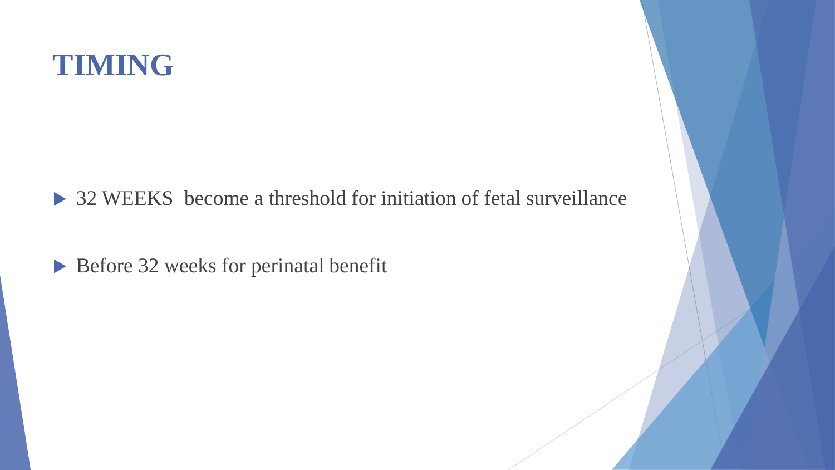## **TIMING**

▶ 32 WEEKS become a threshold for initiation of fetal surveillance

Before 32 weeks for perinatal benefit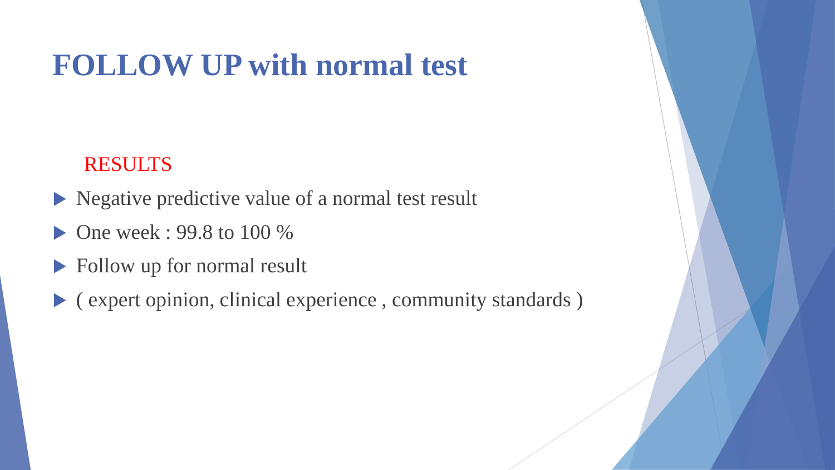# **FOLLOW UP with normal test**

#### RESULTS

- Negative predictive value of a normal test result
- One week : 99.8 to 100 %
- **Follow up for normal result**
- $\blacktriangleright$  (expert opinion, clinical experience, community standards)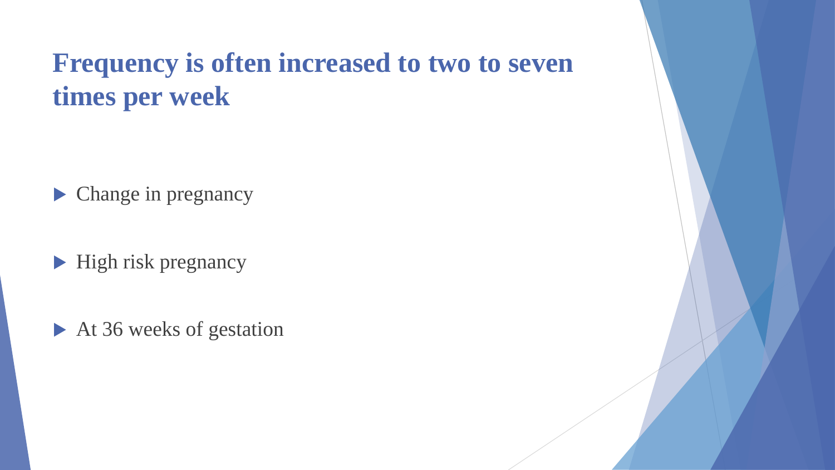### **Frequency is often increased to two to seven times per week**

**Change in pregnancy** 

 $\blacktriangleright$  High risk pregnancy

At 36 weeks of gestation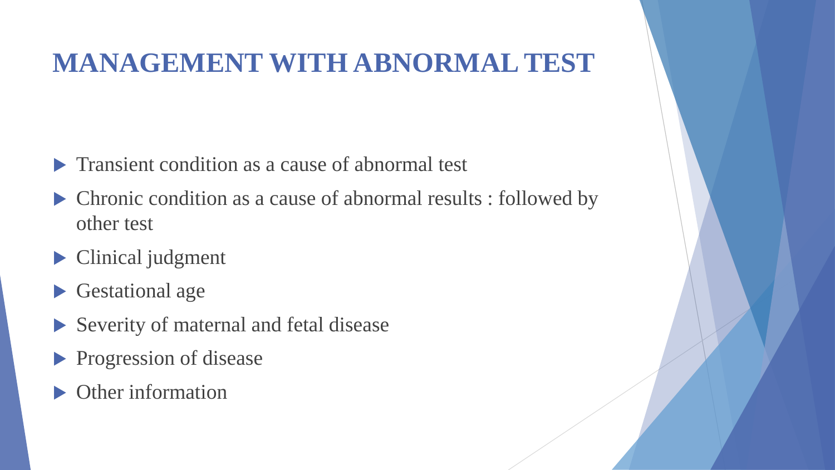### **MANAGEMENT WITH ABNORMAL TEST**

- **Transient condition as a cause of abnormal test**
- Chronic condition as a cause of abnormal results : followed by other test
- **Clinical judgment**
- Gestational age
- Severity of maternal and fetal disease
- **Progression of disease**
- Other information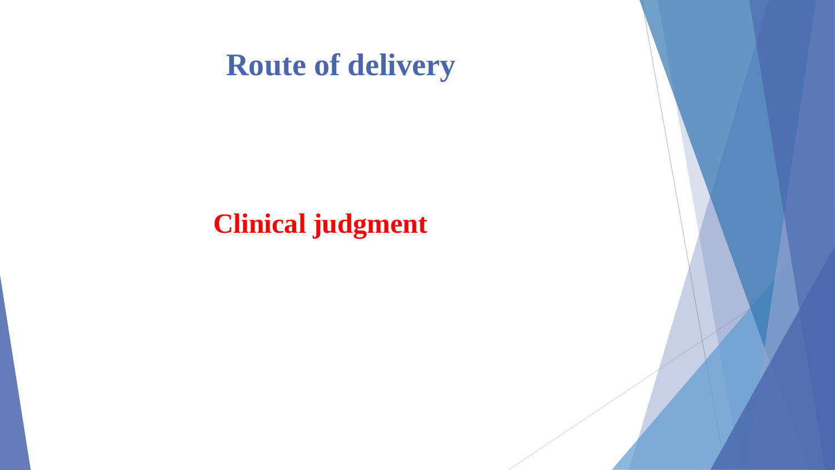## **Route of delivery**

### **Clinical judgment**